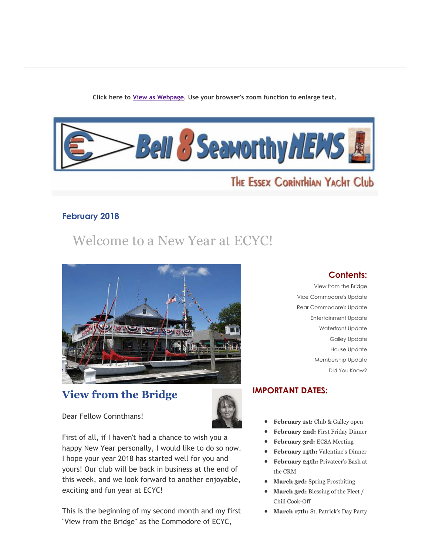**Click here to View as Webpage. Use your browser's zoom function to enlarge text.**



# THE ESSEX CORINTHIAN YACHT Club

## **February 2018**

# Welcome to a New Year at ECYC!



## **View from the Bridge**



Dear Fellow Corinthians!

First of all, if I haven't had a chance to wish you a happy New Year personally, I would like to do so now. I hope your year 2018 has started well for you and yours! Our club will be back in business at the end of this week, and we look forward to another enjoyable, exciting and fun year at ECYC!

This is the beginning of my second month and my first "View from the Bridge" as the Commodore of ECYC,

## **Contents:**

View from the Bridge Vice Commodore's Update Rear Commodore's Update Entertainment Update Waterfront Update Galley Update House Update Membership Update Did You Know?

## **IMPORTANT DATES:**

- **February 1st:** Club & Galley open  $\bullet$
- **February 2nd:** First Friday Dinner  $\bullet$
- **February 3rd:** ECSA Meeting
- **February 14th:** Valentine's Dinner
- **February 24th:** Privateer's Bash at the CRM
- **March 3rd:** Spring Frostbiting
- **March 3rd:** Blessing of the Fleet /  $\bullet$ Chili Cook-Off
- **March 17th:** St. Patrick's Day Party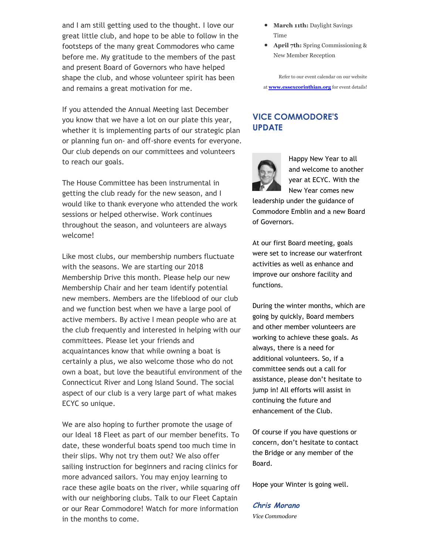and I am still getting used to the thought. I love our great little club, and hope to be able to follow in the footsteps of the many great Commodores who came before me. My gratitude to the members of the past and present Board of Governors who have helped shape the club, and whose volunteer spirit has been and remains a great motivation for me.

If you attended the Annual Meeting last December you know that we have a lot on our plate this year, whether it is implementing parts of our strategic plan or planning fun on‑ and off‑shore events for everyone. Our club depends on our committees and volunteers to reach our goals.

The House Committee has been instrumental in getting the club ready for the new season, and I would like to thank everyone who attended the work sessions or helped otherwise. Work continues throughout the season, and volunteers are always welcome!

Like most clubs, our membership numbers fluctuate with the seasons. We are starting our 2018 Membership Drive this month. Please help our new Membership Chair and her team identify potential new members. Members are the lifeblood of our club and we function best when we have a large pool of active members. By active I mean people who are at the club frequently and interested in helping with our committees. Please let your friends and acquaintances know that while owning a boat is certainly a plus, we also welcome those who do not own a boat, but love the beautiful environment of the Connecticut River and Long Island Sound. The social aspect of our club is a very large part of what makes ECYC so unique.

We are also hoping to further promote the usage of our Ideal 18 Fleet as part of our member benefits. To date, these wonderful boats spend too much time in their slips. Why not try them out? We also offer sailing instruction for beginners and racing clinics for more advanced sailors. You may enjoy learning to race these agile boats on the river, while squaring off with our neighboring clubs. Talk to our Fleet Captain or our Rear Commodore! Watch for more information in the months to come.

- March 11th: Daylight Savings Time
- **April 7th:** Spring Commissioning & New Member Reception

Refer to our event calendar on our website at **www.essexcorinthian.org** for event details!

## **VICE COMMODORE'S UPDATE**



Happy New Year to all and welcome to another year at ECYC. With the New Year comes new

leadership under the guidance of Commodore Emblin and a new Board of Governors.

At our first Board meeting, goals were set to increase our waterfront activities as well as enhance and improve our onshore facility and functions.

During the winter months, which are going by quickly, Board members and other member volunteers are working to achieve these goals. As always, there is a need for additional volunteers. So, if a committee sends out a call for assistance, please don't hesitate to jump in! All efforts will assist in continuing the future and enhancement of the Club.

Of course if you have questions or concern, don't hesitate to contact the Bridge or any member of the Board.

Hope your Winter is going well.

**Chris Morano** *Vice Commodore*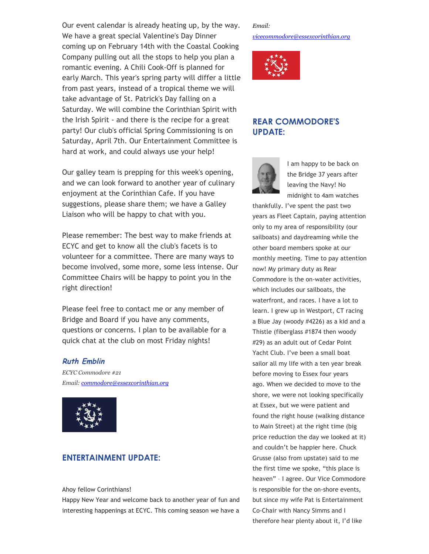Our event calendar is already heating up, by the way. We have a great special Valentine's Day Dinner coming up on February 14th with the Coastal Cooking Company pulling out all the stops to help you plan a romantic evening. A Chili Cook‑Off is planned for early March. This year's spring party will differ a little from past years, instead of a tropical theme we will take advantage of St. Patrick's Day falling on a Saturday. We will combine the Corinthian Spirit with the Irish Spirit ‑ and there is the recipe for a great party! Our club's official Spring Commissioning is on Saturday, April 7th. Our Entertainment Committee is hard at work, and could always use your help!

Our galley team is prepping for this week's opening, and we can look forward to another year of culinary enjoyment at the Corinthian Cafe. If you have suggestions, please share them; we have a Galley Liaison who will be happy to chat with you.

Please remember: The best way to make friends at ECYC and get to know all the club's facets is to volunteer for a committee. There are many ways to become involved, some more, some less intense. Our Committee Chairs will be happy to point you in the right direction!

Please feel free to contact me or any member of Bridge and Board if you have any comments, questions or concerns. I plan to be available for a quick chat at the club on most Friday nights!

#### **Ruth Emblin**

*ECYC Commodore #21 Email: commodore@essexcorinthian.org*



## **ENTERTAINMENT UPDATE:**

Ahoy fellow Corinthians!

Happy New Year and welcome back to another year of fun and interesting happenings at ECYC. This coming season we have a

## *Email:*

*vicecommodore@essexcorinthian.org*



## **REAR COMMODORE'S UPDATE:**



I am happy to be back on the Bridge 37 years after leaving the Navy! No midnight to 4am watches

thankfully. I've spent the past two years as Fleet Captain, paying attention only to my area of responsibility (our sailboats) and daydreaming while the other board members spoke at our monthly meeting. Time to pay attention now! My primary duty as Rear Commodore is the on‑water activities, which includes our sailboats, the waterfront, and races. I have a lot to learn. I grew up in Westport, CT racing a Blue Jay (woody #4226) as a kid and a Thistle (fiberglass #1874 then woody #29) as an adult out of Cedar Point Yacht Club. I've been a small boat sailor all my life with a ten year break before moving to Essex four years ago. When we decided to move to the shore, we were not looking specifically at Essex, but we were patient and found the right house (walking distance to Main Street) at the right time (big price reduction the day we looked at it) and couldn't be happier here. Chuck Grusse (also from upstate) said to me the first time we spoke, "this place is heaven" – I agree. Our Vice Commodore is responsible for the on‑shore events, but since my wife Pat is Entertainment Co‑Chair with Nancy Simms and I therefore hear plenty about it, I'd like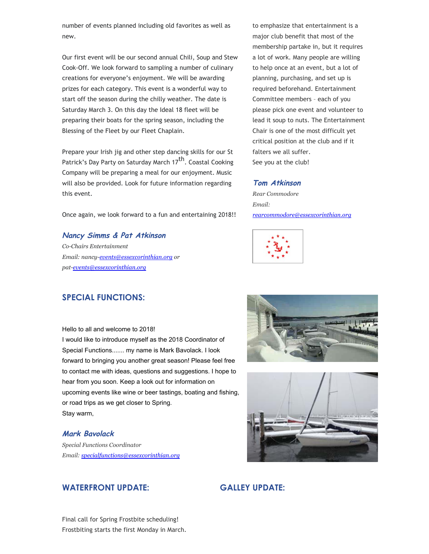number of events planned including old favorites as well as new.

Our first event will be our second annual Chili, Soup and Stew Cook‑Off. We look forward to sampling a number of culinary creations for everyone's enjoyment. We will be awarding prizes for each category. This event is a wonderful way to start off the season during the chilly weather. The date is Saturday March 3. On this day the Ideal 18 fleet will be preparing their boats for the spring season, including the Blessing of the Fleet by our Fleet Chaplain.

Prepare your Irish jig and other step dancing skills for our St Patrick's Day Party on Saturday March 17<sup>th</sup>. Coastal Cooking Company will be preparing a meal for our enjoyment. Music will also be provided. Look for future information regarding this event.

Once again, we look forward to a fun and entertaining 2018!!

**Nancy Simms & Pat Atkinson** *CoChairs Entertainment Email: nancy-events@essexcorinthian.org or patevents@essexcorinthian.org*

to emphasize that entertainment is a major club benefit that most of the membership partake in, but it requires a lot of work. Many people are willing to help once at an event, but a lot of planning, purchasing, and set up is required beforehand. Entertainment Committee members – each of you please pick one event and volunteer to lead it soup to nuts. The Entertainment Chair is one of the most difficult yet critical position at the club and if it falters we all suffer. See you at the club!

#### **Tom Atkinson**

*Rear Commodore Email: rearcommodore@essexcorinthian.org*



## **SPECIAL FUNCTIONS:**

Hello to all and welcome to 2018!

I would like to introduce myself as the 2018 Coordinator of Special Functions....... my name is Mark Bavolack. I look forward to bringing you another great season! Please feel free to contact me with ideas, questions and suggestions. I hope to hear from you soon. Keep a look out for information on upcoming events like wine or beer tastings, boating and fishing, or road trips as we get closer to Spring. Stay warm,

#### **Mark Bavolack**

*Special Functions Coordinator Email: specialfunctions@essexcorinthian.org*







### **GALLEY UPDATE:**

Final call for Spring Frostbite scheduling! Frostbiting starts the first Monday in March.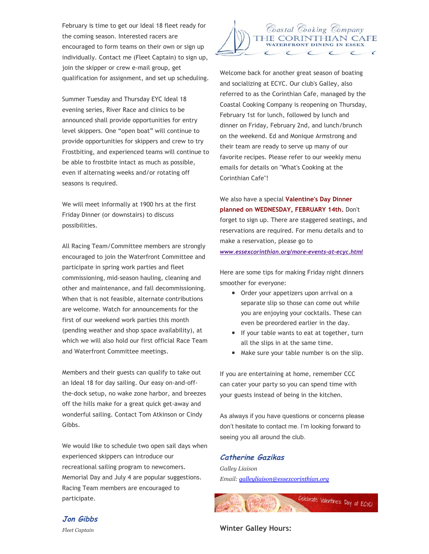February is time to get our Ideal 18 fleet ready for the coming season. Interested racers are encouraged to form teams on their own or sign up individually. Contact me (Fleet Captain) to sign up, join the skipper or crew e-mail group, get qualification for assignment, and set up scheduling.

Summer Tuesday and Thursday EYC Ideal 18 evening series, River Race and clinics to be announced shall provide opportunities for entry level skippers. One "open boat" will continue to provide opportunities for skippers and crew to try Frostbiting, and experienced teams will continue to be able to frostbite intact as much as possible, even if alternating weeks and/or rotating off seasons is required.

We will meet informally at 1900 hrs at the first Friday Dinner (or downstairs) to discuss possibilities.

All Racing Team/Committee members are strongly encouraged to join the Waterfront Committee and participate in spring work parties and fleet commissioning, mid‑season hauling, cleaning and other and maintenance, and fall decommissioning. When that is not feasible, alternate contributions are welcome. Watch for announcements for the first of our weekend work parties this month (pending weather and shop space availability), at which we will also hold our first official Race Team and Waterfront Committee meetings.

Members and their guests can qualify to take out an Ideal 18 for day sailing. Our easy on-and-offthe‑dock setup, no wake zone harbor, and breezes off the hills make for a great quick get-away and wonderful sailing. Contact Tom Atkinson or Cindy Gibbs.

We would like to schedule two open sail days when experienced skippers can introduce our recreational sailing program to newcomers. Memorial Day and July 4 are popular suggestions. Racing Team members are encouraged to participate.



Welcome back for another great season of boating and socializing at ECYC. Our club's Galley, also referred to as the Corinthian Cafe, managed by the Coastal Cooking Company is reopening on Thursday, February 1st for lunch, followed by lunch and dinner on Friday, February 2nd, and lunch/brunch on the weekend. Ed and Monique Armstrong and their team are ready to serve up many of our favorite recipes. Please refer to our weekly menu emails for details on "What's Cooking at the Corinthian Cafe"!

We also have a special **Valentine's Day Dinner planned on WEDNESDAY, FEBRUARY 14th.** Don't forget to sign up. There are staggered seatings, and reservations are required. For menu details and to make a reservation, please go to

*www.essexcorinthian.org/more‑events‑at‑ecyc.html*

Here are some tips for making Friday night dinners smoother for everyone:

- Order your appetizers upon arrival on a separate slip so those can come out while you are enjoying your cocktails. These can even be preordered earlier in the day.
- If your table wants to eat at together, turn all the slips in at the same time.
- Make sure your table number is on the slip.

If you are entertaining at home, remember CCC can cater your party so you can spend time with your guests instead of being in the kitchen.

As always if you have questions or concerns please don't hesitate to contact me. I'm looking forward to seeing you all around the club.

#### **Catherine Gazikas**

*Galley Liaison Email: galleyliaison@essexcorinthian.org*



**Jon Gibbs**

*Fleet Captain*

**Winter Galley Hours:**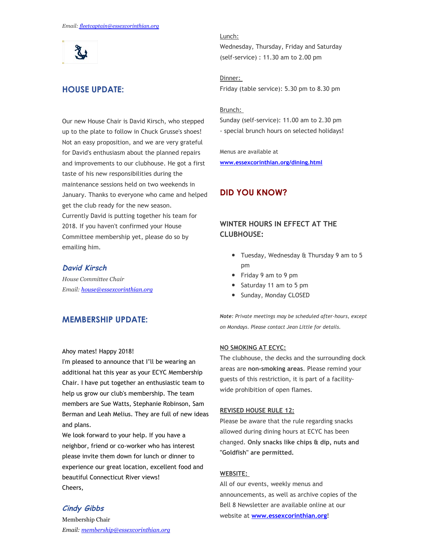مگل

## **HOUSE UPDATE:**

Our new House Chair is David Kirsch, who stepped up to the plate to follow in Chuck Grusse's shoes! Not an easy proposition, and we are very grateful for David's enthusiasm about the planned repairs and improvements to our clubhouse. He got a first taste of his new responsibilities during the maintenance sessions held on two weekends in January. Thanks to everyone who came and helped get the club ready for the new season. Currently David is putting together his team for 2018. If you haven't confirmed your House Committee membership yet, please do so by emailing him.

#### **David Kirsch**

*House Committee Chair Email: house@essexcorinthian.org*

## **MEMBERSHIP UPDATE:**

#### Ahoy mates! Happy 2018!

I'm pleased to announce that I'll be wearing an additional hat this year as your ECYC Membership Chair. I have put together an enthusiastic team to help us grow our club's membership. The team members are Sue Watts, Stephanie Robinson, Sam Berman and Leah Melius. They are full of new ideas and plans.

We look forward to your help. If you have a neighbor, friend or co‑worker who has interest please invite them down for lunch or dinner to experience our great location, excellent food and beautiful Connecticut River views! Cheers,

#### **Cindy Gibbs**

Membership Chair *Email: membership@essexcorinthian.org*

#### Lunch:

Wednesday, Thursday, Friday and Saturday (self‑service) : 11.30 am to 2.00 pm

Dinner: Friday (table service): 5.30 pm to 8.30 pm

#### Brunch:

Sunday (self‑service): 11.00 am to 2.30 pm ‑ special brunch hours on selected holidays!

Menus are available at **www.essexcorinthian.org/dining.html**

### **DID YOU KNOW?**

## **WINTER HOURS IN EFFECT AT THE CLUBHOUSE:**

- Tuesday, Wednesday & Thursday 9 am to 5 pm
- Friday 9 am to 9 pm
- Saturday 11 am to 5 pm
- Sunday, Monday CLOSED

*Note: Private meetings may be scheduled after‑hours, except on Mondays. Please contact Jean Little for details.*

#### **NO SMOKING AT ECYC:**

The clubhouse, the decks and the surrounding dock areas are **non‑smoking areas**. Please remind your guests of this restriction, it is part of a facilitywide prohibition of open flames.

#### **REVISED HOUSE RULE 12:**

Please be aware that the rule regarding snacks allowed during dining hours at ECYC has been changed. **Only snacks like chips & dip, nuts and "Goldfish" are permitted.**

#### **WEBSITE:**

All of our events, weekly menus and announcements, as well as archive copies of the Bell 8 Newsletter are available online at our website at **www.essexcorinthian.org**!